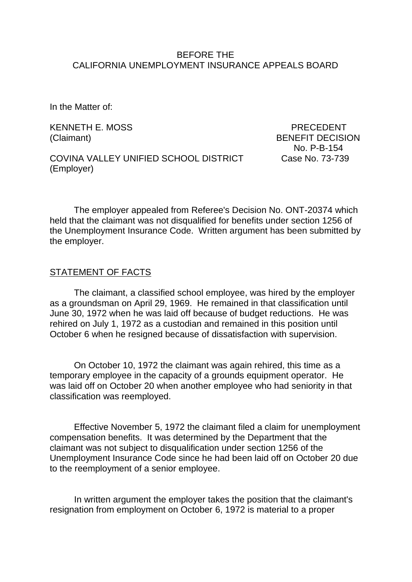#### BEFORE THE CALIFORNIA UNEMPLOYMENT INSURANCE APPEALS BOARD

In the Matter of:

KENNETH E. MOSS PRECEDENT

(Claimant) BENEFIT DECISION No. P-B-154

COVINA VALLEY UNIFIED SCHOOL DISTRICT Case No. 73-739 (Employer)

The employer appealed from Referee's Decision No. ONT-20374 which held that the claimant was not disqualified for benefits under section 1256 of the Unemployment Insurance Code. Written argument has been submitted by the employer.

#### STATEMENT OF FACTS

The claimant, a classified school employee, was hired by the employer as a groundsman on April 29, 1969. He remained in that classification until June 30, 1972 when he was laid off because of budget reductions. He was rehired on July 1, 1972 as a custodian and remained in this position until October 6 when he resigned because of dissatisfaction with supervision.

On October 10, 1972 the claimant was again rehired, this time as a temporary employee in the capacity of a grounds equipment operator. He was laid off on October 20 when another employee who had seniority in that classification was reemployed.

Effective November 5, 1972 the claimant filed a claim for unemployment compensation benefits. It was determined by the Department that the claimant was not subject to disqualification under section 1256 of the Unemployment Insurance Code since he had been laid off on October 20 due to the reemployment of a senior employee.

In written argument the employer takes the position that the claimant's resignation from employment on October 6, 1972 is material to a proper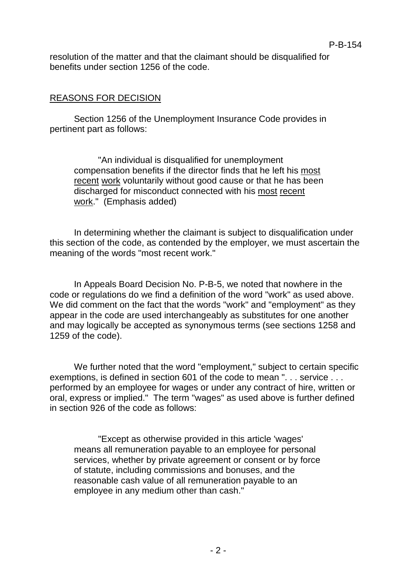resolution of the matter and that the claimant should be disqualified for benefits under section 1256 of the code.

# REASONS FOR DECISION

Section 1256 of the Unemployment Insurance Code provides in pertinent part as follows:

"An individual is disqualified for unemployment compensation benefits if the director finds that he left his most recent work voluntarily without good cause or that he has been discharged for misconduct connected with his most recent work." (Emphasis added)

In determining whether the claimant is subject to disqualification under this section of the code, as contended by the employer, we must ascertain the meaning of the words "most recent work."

In Appeals Board Decision No. P-B-5, we noted that nowhere in the code or regulations do we find a definition of the word "work" as used above. We did comment on the fact that the words "work" and "employment" as they appear in the code are used interchangeably as substitutes for one another and may logically be accepted as synonymous terms (see sections 1258 and 1259 of the code).

We further noted that the word "employment," subject to certain specific exemptions, is defined in section 601 of the code to mean ". . . service . . . performed by an employee for wages or under any contract of hire, written or oral, express or implied." The term "wages" as used above is further defined in section 926 of the code as follows:

"Except as otherwise provided in this article 'wages' means all remuneration payable to an employee for personal services, whether by private agreement or consent or by force of statute, including commissions and bonuses, and the reasonable cash value of all remuneration payable to an employee in any medium other than cash."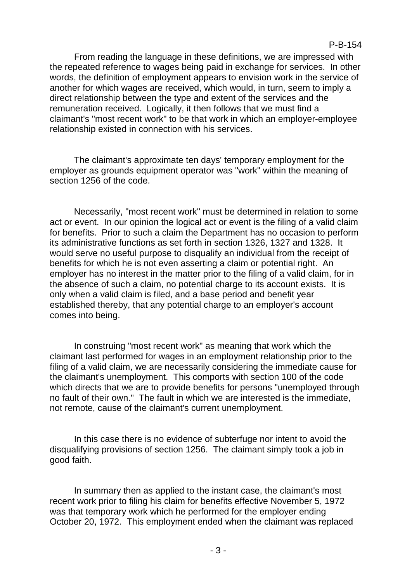From reading the language in these definitions, we are impressed with the repeated reference to wages being paid in exchange for services. In other words, the definition of employment appears to envision work in the service of another for which wages are received, which would, in turn, seem to imply a direct relationship between the type and extent of the services and the remuneration received. Logically, it then follows that we must find a claimant's "most recent work" to be that work in which an employer-employee relationship existed in connection with his services.

The claimant's approximate ten days' temporary employment for the employer as grounds equipment operator was "work" within the meaning of section 1256 of the code.

Necessarily, "most recent work" must be determined in relation to some act or event. In our opinion the logical act or event is the filing of a valid claim for benefits. Prior to such a claim the Department has no occasion to perform its administrative functions as set forth in section 1326, 1327 and 1328. It would serve no useful purpose to disqualify an individual from the receipt of benefits for which he is not even asserting a claim or potential right. An employer has no interest in the matter prior to the filing of a valid claim, for in the absence of such a claim, no potential charge to its account exists. It is only when a valid claim is filed, and a base period and benefit year established thereby, that any potential charge to an employer's account comes into being.

In construing "most recent work" as meaning that work which the claimant last performed for wages in an employment relationship prior to the filing of a valid claim, we are necessarily considering the immediate cause for the claimant's unemployment. This comports with section 100 of the code which directs that we are to provide benefits for persons "unemployed through no fault of their own." The fault in which we are interested is the immediate, not remote, cause of the claimant's current unemployment.

In this case there is no evidence of subterfuge nor intent to avoid the disqualifying provisions of section 1256. The claimant simply took a job in good faith.

In summary then as applied to the instant case, the claimant's most recent work prior to filing his claim for benefits effective November 5, 1972 was that temporary work which he performed for the employer ending October 20, 1972. This employment ended when the claimant was replaced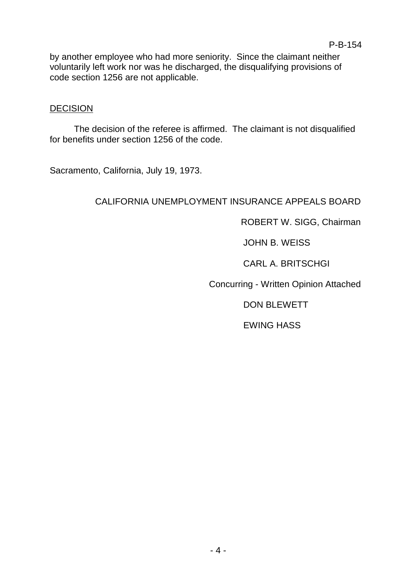by another employee who had more seniority. Since the claimant neither voluntarily left work nor was he discharged, the disqualifying provisions of code section 1256 are not applicable.

#### **DECISION**

The decision of the referee is affirmed. The claimant is not disqualified for benefits under section 1256 of the code.

Sacramento, California, July 19, 1973.

### CALIFORNIA UNEMPLOYMENT INSURANCE APPEALS BOARD

ROBERT W. SIGG, Chairman

JOHN B. WEISS

CARL A. BRITSCHGI

Concurring - Written Opinion Attached

DON BLEWETT

EWING HASS